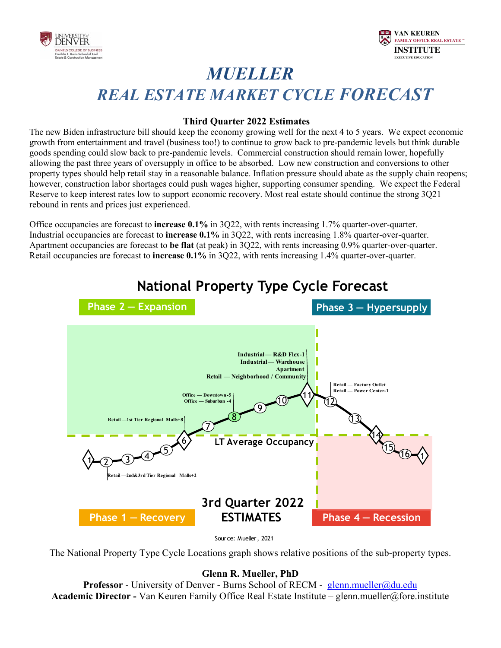



# *MUELLER REAL ESTATE MARKET CYCLE FORECAST*

#### **Third Quarter 2022 Estimates**

The new Biden infrastructure bill should keep the economy growing well for the next 4 to 5 years. We expect economic growth from entertainment and travel (business too!) to continue to grow back to pre-pandemic levels but think durable goods spending could slow back to pre-pandemic levels. Commercial construction should remain lower, hopefully allowing the past three years of oversupply in office to be absorbed. Low new construction and conversions to other property types should help retail stay in a reasonable balance. Inflation pressure should abate as the supply chain reopens; however, construction labor shortages could push wages higher, supporting consumer spending. We expect the Federal Reserve to keep interest rates low to support economic recovery. Most real estate should continue the strong 3Q21 rebound in rents and prices just experienced.

Office occupancies are forecast to **increase 0.1%** in 3Q22, with rents increasing 1.7% quarter-over-quarter. Industrial occupancies are forecast to **increase 0.1%** in 3Q22, with rents increasing 1.8% quarter-over-quarter. Apartment occupancies are forecast to **be flat** (at peak) in 3Q22, with rents increasing 0.9% quarter-over-quarter. Retail occupancies are forecast to **increase 0.1%** in 3Q22, with rents increasing 1.4% quarter-over-quarter.



## **National Property Type Cycle Forecast**

Source: Mueller, 2021

The National Property Type Cycle Locations graph shows relative positions of the sub-property types.

#### **Glenn R. Mueller, PhD**

**Professor** - University of Denver - Burns School of RECM - glenn.mueller@du.edu **Academic Director -** Van Keuren Family Office Real Estate Institute – glenn.mueller@fore.institute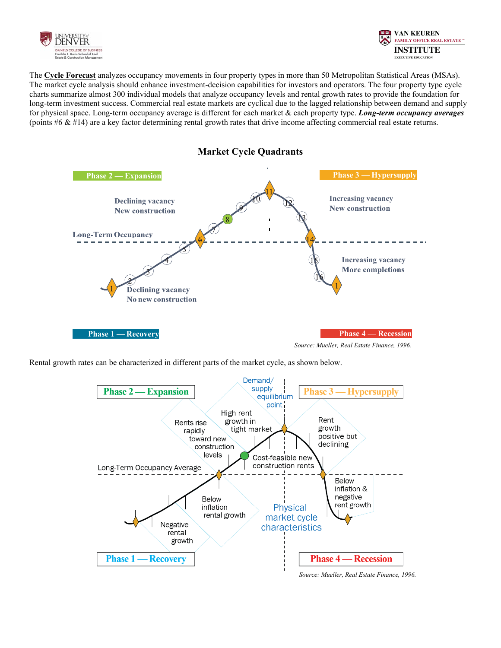



The **Cycle Forecast** analyzes occupancy movements in four property types in more than 50 Metropolitan Statistical Areas (MSAs). The market cycle analysis should enhance investment-decision capabilities for investors and operators. The four property type cycle charts summarize almost 300 individual models that analyze occupancy levels and rental growth rates to provide the foundation for long-term investment success. Commercial real estate markets are cyclical due to the lagged relationship between demand and supply for physical space. Long-term occupancy average is different for each market & each property type. *Long-term occupancy averages* (points  $#6 \& #14$ ) are a key factor determining rental growth rates that drive income affecting commercial real estate returns.



Rental growth rates can be characterized in different parts of the market cycle, as shown below.

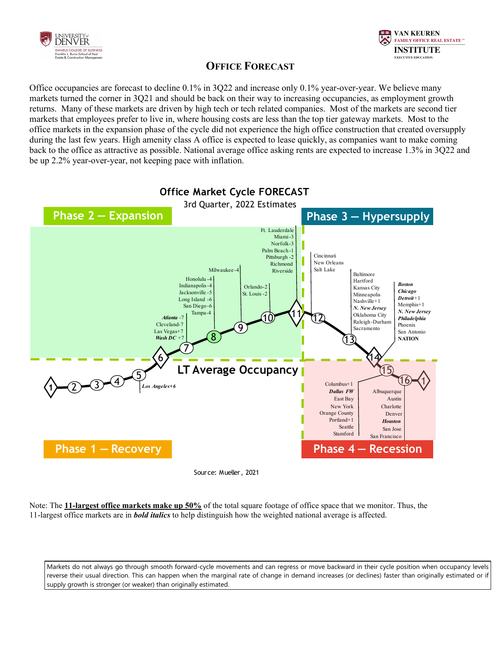



### **OFFICE FORECAST**

Office occupancies are forecast to decline 0.1% in 3Q22 and increase only 0.1% year-over-year. We believe many markets turned the corner in 3Q21 and should be back on their way to increasing occupancies, as employment growth returns. Many of these markets are driven by high tech or tech related companies. Most of the markets are second tier markets that employees prefer to live in, where housing costs are less than the top tier gateway markets. Most to the office markets in the expansion phase of the cycle did not experience the high office construction that created oversupply during the last few years. High amenity class A office is expected to lease quickly, as companies want to make coming back to the office as attractive as possible. National average office asking rents are expected to increase 1.3% in 3Q22 and be up 2.2% year-over-year, not keeping pace with inflation.



Source: Mueller, 2021

Note: The **11-largest office markets make up 50%** of the total square footage of office space that we monitor. Thus, the 11-largest office markets are in *bold italics* to help distinguish how the weighted national average is affected.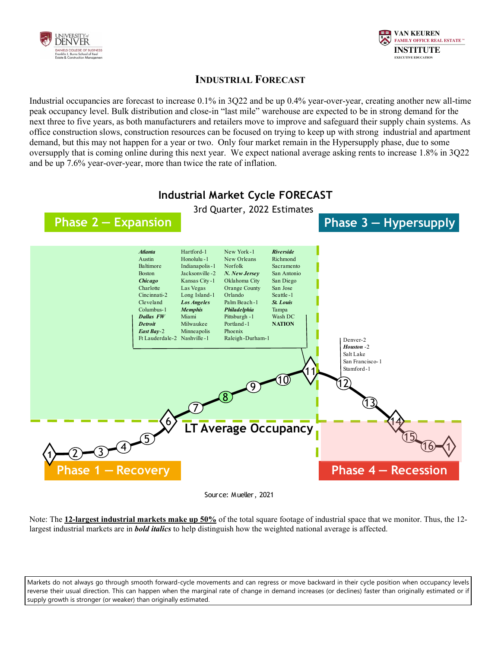



#### **INDUSTRIAL FORECAST**

Industrial occupancies are forecast to increase 0.1% in 3Q22 and be up 0.4% year-over-year, creating another new all-time peak occupancy level. Bulk distribution and close-in "last mile" warehouse are expected to be in strong demand for the next three to five years, as both manufacturers and retailers move to improve and safeguard their supply chain systems. As office construction slows, construction resources can be focused on trying to keep up with strong industrial and apartment demand, but this may not happen for a year or two. Only four market remain in the Hypersupply phase, due to some oversupply that is coming online during this next year. We expect national average asking rents to increase 1.8% in 3Q22 and be up 7.6% year-over-year, more than twice the rate of inflation.



Source: Mueller, 2021

Note: The **12-largest industrial markets make up 50%** of the total square footage of industrial space that we monitor. Thus, the 12 largest industrial markets are in *bold italics* to help distinguish how the weighted national average is affected.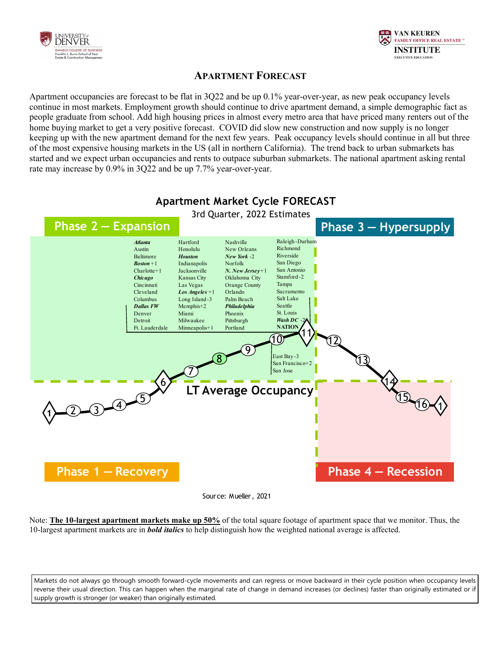



### **APARTMENT FORECAST**

Apartment occupancies are forecast to be flat in 3Q22 and be up 0.1% year-over-year, as new peak occupancy levels continue in most markets. Employment growth should continue to drive apartment demand, a simple demographic fact as people graduate from school. Add high housing prices in almost every metro area that have priced many renters out of the home buying market to get a very positive forecast. COVID did slow new construction and now supply is no longer keeping up with the new apartment demand for the next few years. Peak occupancy levels should continue in all but three of the most expensive housing markets in the US (all in northern California). The trend back to urban submarkets has started and we expect urban occupancies and rents to outpace suburban submarkets. The national apartment asking rental rate may increase by 0.9% in 3Q22 and be up 7.7% year-over-year.



### **Apartment Market Cycle FORECAST**

Source: Mueller, 2021

Note: **The 10-largest apartment markets make up 50%** of the total square footage of apartment space that we monitor. Thus, the 10-largest apartment markets are in *bold italics* to help distinguish how the weighted national average is affected.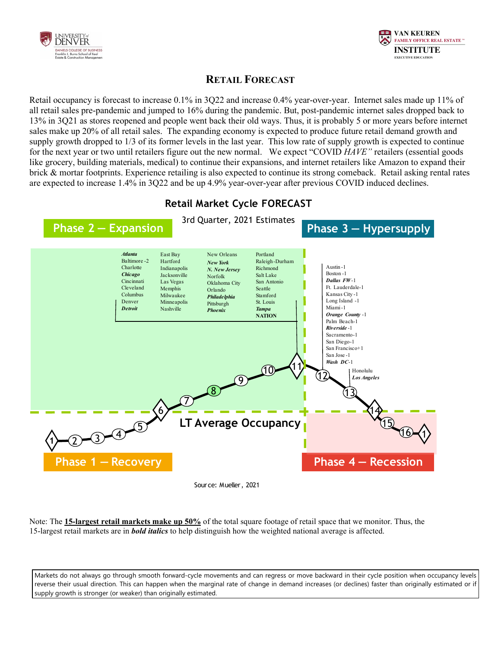



### **RETAIL FORECAST**

Retail occupancy is forecast to increase 0.1% in 3Q22 and increase 0.4% year-over-year. Internet sales made up 11% of all retail sales pre-pandemic and jumped to 16% during the pandemic. But, post-pandemic internet sales dropped back to 13% in 3Q21 as stores reopened and people went back their old ways. Thus, it is probably 5 or more years before internet sales make up 20% of all retail sales. The expanding economy is expected to produce future retail demand growth and supply growth dropped to 1/3 of its former levels in the last year. This low rate of supply growth is expected to continue for the next year or two until retailers figure out the new normal. We expect "COVID *HAVE"* retailers (essential goods like grocery, building materials, medical) to continue their expansions, and internet retailers like Amazon to expand their brick & mortar footprints. Experience retailing is also expected to continue its strong comeback. Retail asking rental rates are expected to increase 1.4% in 3Q22 and be up 4.9% year-over-year after previous COVID induced declines.



Note: The **15-largest retail markets make up 50%** of the total square footage of retail space that we monitor. Thus, the 15-largest retail markets are in *bold italics* to help distinguish how the weighted national average is affected.